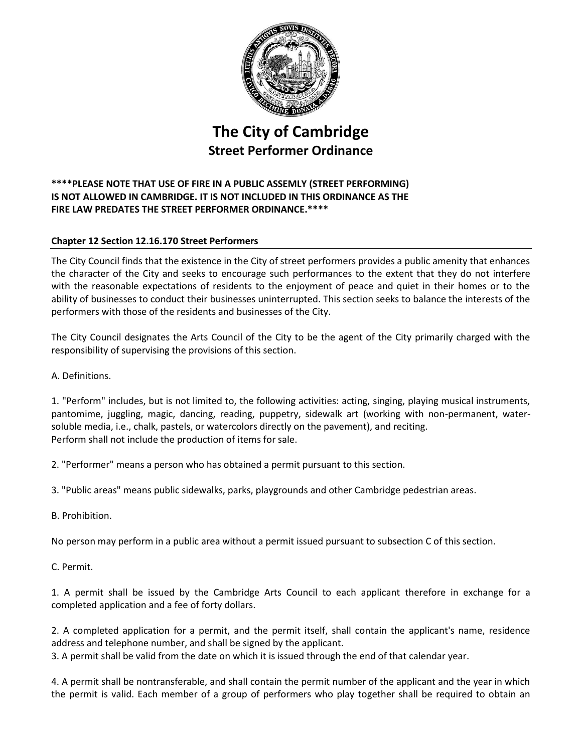

## **The City of Cambridge Street Performer Ordinance**

## **\*\*\*\*PLEASE NOTE THAT USE OF FIRE IN A PUBLIC ASSEMLY (STREET PERFORMING) IS NOT ALLOWED IN CAMBRIDGE. IT IS NOT INCLUDED IN THIS ORDINANCE AS THE FIRE LAW PREDATES THE STREET PERFORMER ORDINANCE.\*\*\*\***

## **Chapter 12 Section 12.16.170 Street Performers**

The City Council finds that the existence in the City of street performers provides a public amenity that enhances the character of the City and seeks to encourage such performances to the extent that they do not interfere with the reasonable expectations of residents to the enjoyment of peace and quiet in their homes or to the ability of businesses to conduct their businesses uninterrupted. This section seeks to balance the interests of the performers with those of the residents and businesses of the City.

The City Council designates the Arts Council of the City to be the agent of the City primarily charged with the responsibility of supervising the provisions of this section.

A. Definitions.

1. "Perform" includes, but is not limited to, the following activities: acting, singing, playing musical instruments, pantomime, juggling, magic, dancing, reading, puppetry, sidewalk art (working with non-permanent, watersoluble media, i.e., chalk, pastels, or watercolors directly on the pavement), and reciting. Perform shall not include the production of items for sale.

2. "Performer" means a person who has obtained a permit pursuant to this section.

3. "Public areas" means public sidewalks, parks, playgrounds and other Cambridge pedestrian areas.

B. Prohibition.

No person may perform in a public area without a permit issued pursuant to subsection C of this section.

C. Permit.

1. A permit shall be issued by the Cambridge Arts Council to each applicant therefore in exchange for a completed application and a fee of forty dollars.

2. A completed application for a permit, and the permit itself, shall contain the applicant's name, residence address and telephone number, and shall be signed by the applicant.

3. A permit shall be valid from the date on which it is issued through the end of that calendar year.

4. A permit shall be nontransferable, and shall contain the permit number of the applicant and the year in which the permit is valid. Each member of a group of performers who play together shall be required to obtain an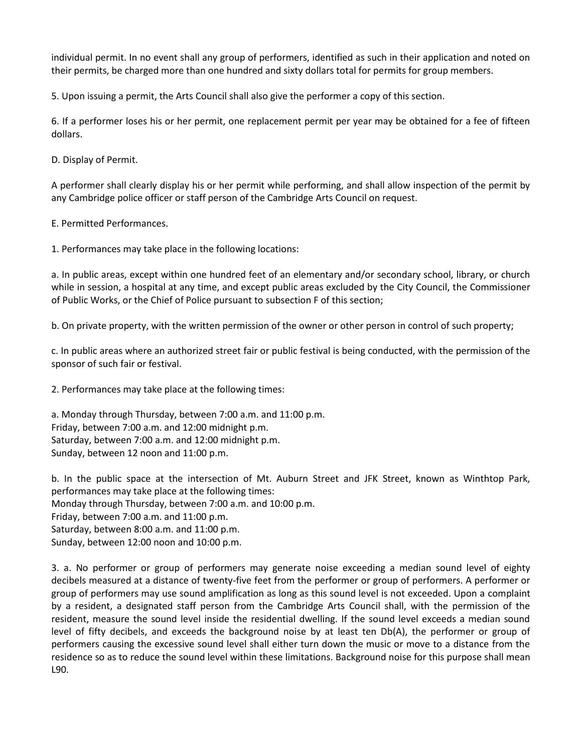individual permit. In no event shall any group of performers, identified as such in their application and noted on their permits, be charged more than one hundred and sixty dollars total for permits for group members.

5. Upon issuing a permit, the Arts Council shall also give the performer a copy of this section.

6. If a performer loses his or her permit, one replacement permit per year may be obtained for a fee of fifteen dollars.

D. Display of Permit.

A performer shall clearly display his or her permit while performing, and shall allow inspection of the permit by any Cambridge police officer or staff person of the Cambridge Arts Council on request.

E. Permitted Performances.

1. Performances may take place in the following locations:

a. In public areas, except within one hundred feet of an elementary and/or secondary school, library, or church while in session, a hospital at any time, and except public areas excluded by the City Council, the Commissioner of Public Works, or the Chief of Police pursuant to subsection F of this section;

b. On private property, with the written permission of the owner or other person in control of such property;

c. In public areas where an authorized street fair or public festival is being conducted, with the permission of the sponsor of such fair or festival.

2. Performances may take place at the following times:

a. Monday through Thursday, between 7:00 a.m. and 11:00 p.m. Friday, between 7:00 a.m. and 12:00 midnight p.m. Saturday, between 7:00 a.m. and 12:00 midnight p.m. Sunday, between 12 noon and 11:00 p.m.

b. In the public space at the intersection of Mt. Auburn Street and JFK Street, known as Winthtop Park, performances may take place at the following times: Monday through Thursday, between 7:00 a.m. and 10:00 p.m. Friday, between 7:00 a.m. and 11:00 p.m. Saturday, between 8:00 a.m. and 11:00 p.m. Sunday, between 12:00 noon and 10:00 p.m.

3. a. No performer or group of performers may generate noise exceeding a median sound level of eighty decibels measured at a distance of twenty-five feet from the performer or group of performers. A performer or group of performers may use sound amplification as long as this sound level is not exceeded. Upon a complaint by a resident, a designated staff person from the Cambridge Arts Council shall, with the permission of the resident, measure the sound level inside the residential dwelling. If the sound level exceeds a median sound level of fifty decibels, and exceeds the background noise by at least ten Db(A), the performer or group of performers causing the excessive sound level shall either turn down the music or move to a distance from the residence so as to reduce the sound level within these limitations. Background noise for this purpose shall mean L90.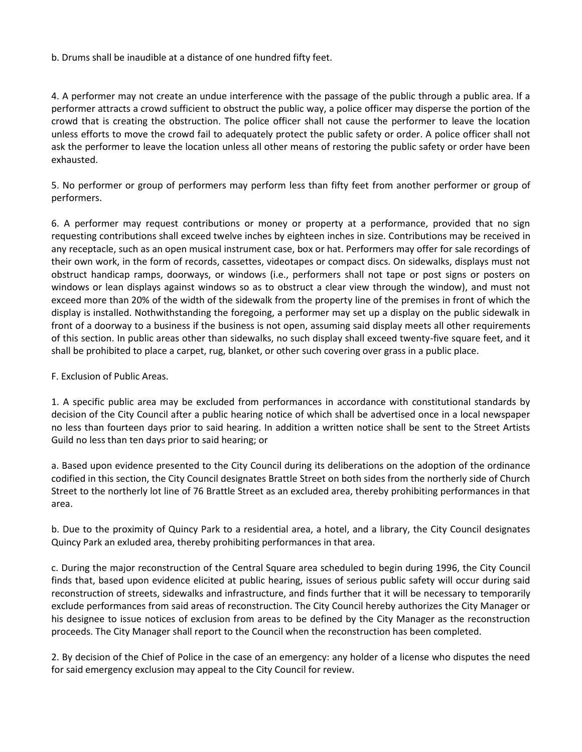b. Drums shall be inaudible at a distance of one hundred fifty feet.

4. A performer may not create an undue interference with the passage of the public through a public area. If a performer attracts a crowd sufficient to obstruct the public way, a police officer may disperse the portion of the crowd that is creating the obstruction. The police officer shall not cause the performer to leave the location unless efforts to move the crowd fail to adequately protect the public safety or order. A police officer shall not ask the performer to leave the location unless all other means of restoring the public safety or order have been exhausted.

5. No performer or group of performers may perform less than fifty feet from another performer or group of performers.

6. A performer may request contributions or money or property at a performance, provided that no sign requesting contributions shall exceed twelve inches by eighteen inches in size. Contributions may be received in any receptacle, such as an open musical instrument case, box or hat. Performers may offer for sale recordings of their own work, in the form of records, cassettes, videotapes or compact discs. On sidewalks, displays must not obstruct handicap ramps, doorways, or windows (i.e., performers shall not tape or post signs or posters on windows or lean displays against windows so as to obstruct a clear view through the window), and must not exceed more than 20% of the width of the sidewalk from the property line of the premises in front of which the display is installed. Nothwithstanding the foregoing, a performer may set up a display on the public sidewalk in front of a doorway to a business if the business is not open, assuming said display meets all other requirements of this section. In public areas other than sidewalks, no such display shall exceed twenty-five square feet, and it shall be prohibited to place a carpet, rug, blanket, or other such covering over grass in a public place.

F. Exclusion of Public Areas.

1. A specific public area may be excluded from performances in accordance with constitutional standards by decision of the City Council after a public hearing notice of which shall be advertised once in a local newspaper no less than fourteen days prior to said hearing. In addition a written notice shall be sent to the Street Artists Guild no less than ten days prior to said hearing; or

a. Based upon evidence presented to the City Council during its deliberations on the adoption of the ordinance codified in this section, the City Council designates Brattle Street on both sides from the northerly side of Church Street to the northerly lot line of 76 Brattle Street as an excluded area, thereby prohibiting performances in that area.

b. Due to the proximity of Quincy Park to a residential area, a hotel, and a library, the City Council designates Quincy Park an exluded area, thereby prohibiting performances in that area.

c. During the major reconstruction of the Central Square area scheduled to begin during 1996, the City Council finds that, based upon evidence elicited at public hearing, issues of serious public safety will occur during said reconstruction of streets, sidewalks and infrastructure, and finds further that it will be necessary to temporarily exclude performances from said areas of reconstruction. The City Council hereby authorizes the City Manager or his designee to issue notices of exclusion from areas to be defined by the City Manager as the reconstruction proceeds. The City Manager shall report to the Council when the reconstruction has been completed.

2. By decision of the Chief of Police in the case of an emergency: any holder of a license who disputes the need for said emergency exclusion may appeal to the City Council for review.